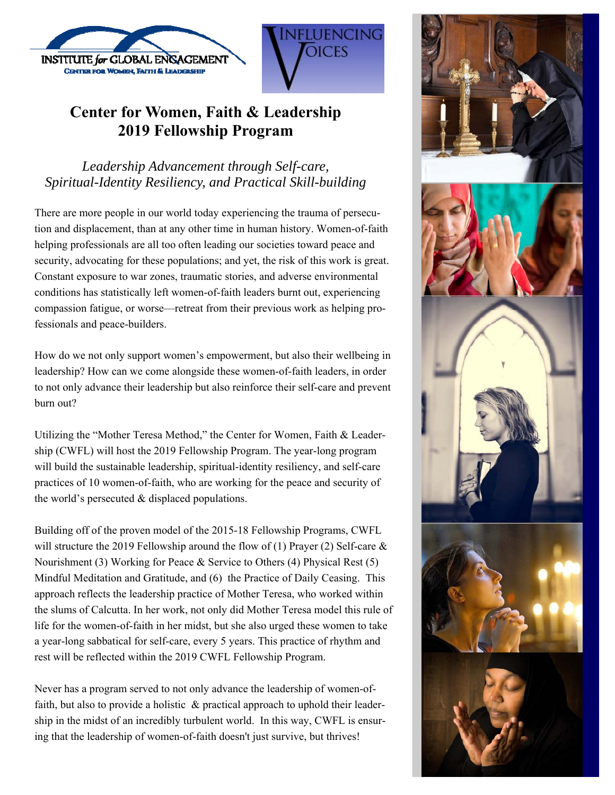

# **Center for Women, Faith & Leadership 2019 Fellowship Program**

**OICES** 

*Leadership Advancement through Self-care, Spiritual-Identity Resiliency, and Practical Skill-building* 

There are more people in our world today experiencing the trauma of persecution and displacement, than at any other time in human history. Women-of-faith helping professionals are all too often leading our societies toward peace and security, advocating for these populations; and yet, the risk of this work is great. Constant exposure to war zones, traumatic stories, and adverse environmental conditions has statistically left women-of-faith leaders burnt out, experiencing compassion fatigue, or worse—retreat from their previous work as helping professionals and peace-builders.

How do we not only support women's empowerment, but also their wellbeing in leadership? How can we come alongside these women-of-faith leaders, in order to not only advance their leadership but also reinforce their self-care and prevent burn out?

Utilizing the "Mother Teresa Method," the Center for Women, Faith & Leadership (CWFL) will host the 2019 Fellowship Program. The year-long program will build the sustainable leadership, spiritual-identity resiliency, and self-care practices of 10 women-of-faith, who are working for the peace and security of the world's persecuted & displaced populations.

Building off of the proven model of the 2015-18 Fellowship Programs, CWFL will structure the 2019 Fellowship around the flow of (1) Prayer (2) Self-care  $\&$ Nourishment (3) Working for Peace & Service to Others (4) Physical Rest (5) Mindful Meditation and Gratitude, and (6) the Practice of Daily Ceasing. This approach reflects the leadership practice of Mother Teresa, who worked within the slums of Calcutta. In her work, not only did Mother Teresa model this rule of life for the women-of-faith in her midst, but she also urged these women to take a year-long sabbatical for self-care, every 5 years. This practice of rhythm and rest will be reflected within the 2019 CWFL Fellowship Program.

Never has a program served to not only advance the leadership of women-offaith, but also to provide a holistic & practical approach to uphold their leadership in the midst of an incredibly turbulent world. In this way, CWFL is ensuring that the leadership of women-of-faith doesn't just survive, but thrives!

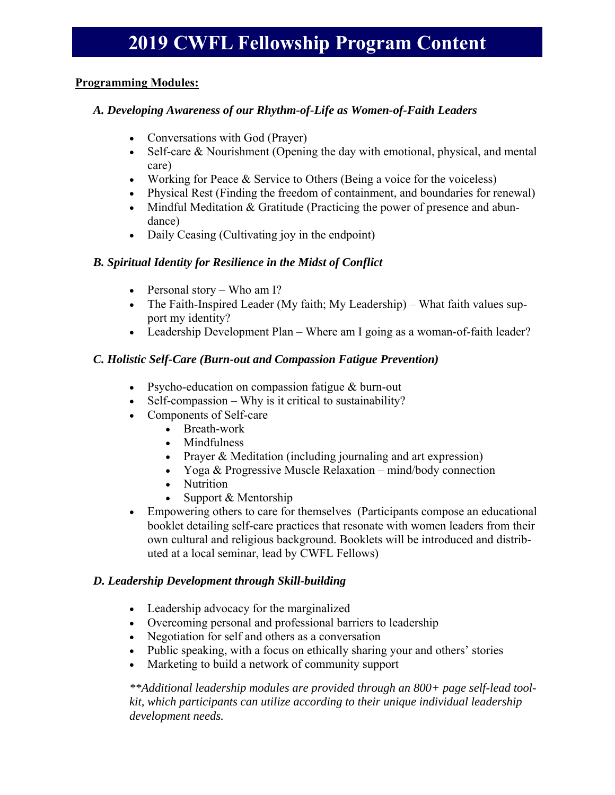## **Programming Modules:**

## *A. Developing Awareness of our Rhythm-of-Life as Women-of-Faith Leaders*

- Conversations with God (Prayer)
- Self-care & Nourishment (Opening the day with emotional, physical, and mental care)
- Working for Peace & Service to Others (Being a voice for the voiceless)
- Physical Rest (Finding the freedom of containment, and boundaries for renewal)
- Mindful Meditation & Gratitude (Practicing the power of presence and abundance)
- Daily Ceasing (Cultivating joy in the endpoint)

### *B. Spiritual Identity for Resilience in the Midst of Conflict*

- Personal story Who am I?
- The Faith-Inspired Leader (My faith; My Leadership) What faith values support my identity?
- Leadership Development Plan Where am I going as a woman-of-faith leader?

### *C. Holistic Self-Care (Burn-out and Compassion Fatigue Prevention)*

- Psycho-education on compassion fatigue & burn-out
- $\bullet$  Self-compassion Why is it critical to sustainability?
- Components of Self-care
	- Breath-work
	- Mindfulness
	- Prayer & Meditation (including journaling and art expression)
	- Yoga & Progressive Muscle Relaxation mind/body connection
	- Nutrition
	- Support & Mentorship
- Empowering others to care for themselves (Participants compose an educational booklet detailing self-care practices that resonate with women leaders from their own cultural and religious background. Booklets will be introduced and distributed at a local seminar, lead by CWFL Fellows)

#### *D. Leadership Development through Skill-building*

- Leadership advocacy for the marginalized
- Overcoming personal and professional barriers to leadership
- Negotiation for self and others as a conversation
- Public speaking, with a focus on ethically sharing your and others' stories
- Marketing to build a network of community support

*\*\*Additional leadership modules are provided through an 800+ page self-lead toolkit, which participants can utilize according to their unique individual leadership development needs.*